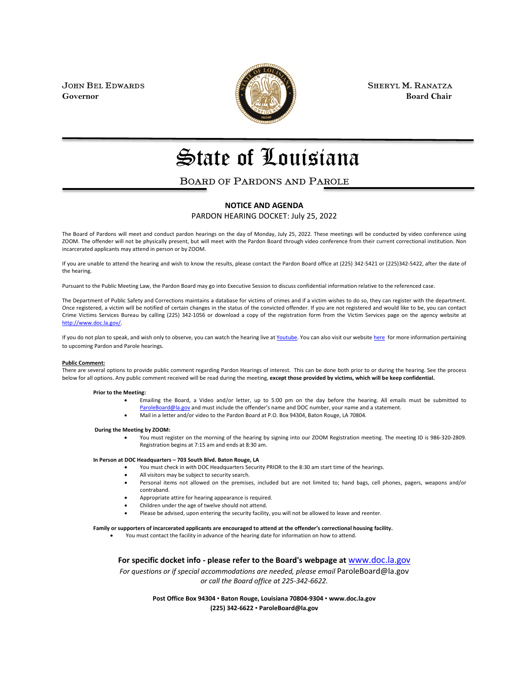

JOHN BEL EDWARDS **SHERYL M. RANATZA SHERYL M. RANATZA Governor** Board Chair **Board Chair Board Chair Board Chair** 

# State of Louisiana

### BOARD OF PARDONS AND PAROLE

#### **NOTICE AND AGENDA**

PARDON HEARING DOCKET: July 25, 2022

The Board of Pardons will meet and conduct pardon hearings on the day of Monday, July 25, 2022. These meetings will be conducted by video conference using ZOOM. The offender will not be physically present, but will meet with the Pardon Board through video conference from their current correctional institution. Non incarcerated applicants may attend in person or by ZOOM.

If you are unable to attend the hearing and wish to know the results, please contact the Pardon Board office at (225) 342-5421 or (225)342-5422, after the date of the hearing.

Pursuant to the Public Meeting Law, the Pardon Board may go into Executive Session to discuss confidential information relative to the referenced case.

The Department of Public Safety and Corrections maintains a database for victims of crimes and if a victim wishes to do so, they can register with the department. Once registered, a victim will be notified of certain changes in the status of the convicted offender. If you are not registered and would like to be, you can contact Crime Victims Services Bureau by calling (225) 342-1056 or download a copy of the registration form from the Victim Services page on the agency website at [http://www.doc.la.gov/.](http://www.doc.la.gov/)

If you do not plan to speak, and wish only to observe, you can watch the hearing live a[t Youtube.](https://www.youtube.com/channel/UCoYjTgNSdFFqnSnuu1Wi3fg/live) You can also visit our websit[e here](https://doc.louisiana.gov/imprisoned-person-programs-resources/pardons-parole/) for more information pertaining to upcoming Pardon and Parole hearings.

#### **Public Comment:**

There are several options to provide public comment regarding Pardon Hearings of interest. This can be done both prior to or during the hearing. See the process below for all options. Any public comment received will be read during the meeting, **except those provided by victims, which will be keep confidential.**

#### **Prior to the Meeting:**

- Emailing the Board, a Video and/or letter, up to 5:00 pm on the day before the hearing. All emails must be submitted to [ParoleBoard@la.gov](mailto:ParoleBoard@la.gov) and must include the offender's name and DOC number, your name and a statement.
- Mail in a letter and/or video to the Pardon Board at P.O. Box 94304, Baton Rouge, LA 70804.

#### **During the Meeting by ZOOM:**

• You must register on the morning of the hearing by signing into our ZOOM Registration meeting. The meeting ID is 986-320-2809. Registration begins at 7:15 am and ends at 8:30 am.

#### **In Person at DOC Headquarters – 703 South Blvd. Baton Rouge, LA**

- You must check in with DOC Headquarters Security PRIOR to the 8:30 am start time of the hearings.
- All visitors may be subject to security search.
- Personal items not allowed on the premises, included but are not limited to; hand bags, cell phones, pagers, weapons and/or contraband.
- Appropriate attire for hearing appearance is required.
- Children under the age of twelve should not attend.
- Please be advised, upon entering the security facility, you will not be allowed to leave and reenter.

#### **Family or supporters of incarcerated applicants are encouraged to attend at the offender's correctional housing facility.**

• You must contact the facility in advance of the hearing date for information on how to attend.

**For specific docket info - please refer to the Board's webpage at** [www.doc.la.gov](http://www.doc.la.gov/)

*For questions or if special accommodations are needed, please email* ParoleBoard@la.gov *or call the Board office at 225-342-6622.*

> **Post Office Box 94304** • **Baton Rouge, Louisiana 70804-9304** • **www.doc.la.gov (225) 342-6622** • **ParoleBoard@la.gov**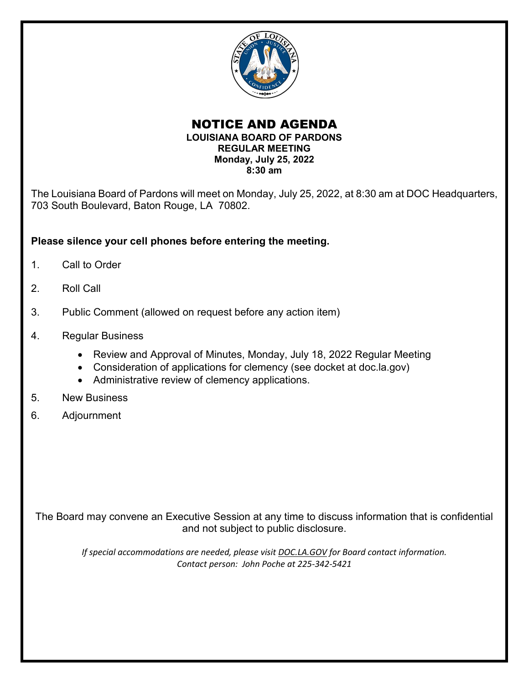

### NOTICE AND AGENDA **LOUISIANA BOARD OF PARDONS REGULAR MEETING Monday, July 25, 2022 8:30 am**

The Louisiana Board of Pardons will meet on Monday, July 25, 2022, at 8:30 am at DOC Headquarters, 703 South Boulevard, Baton Rouge, LA 70802.

### **Please silence your cell phones before entering the meeting.**

- 1. Call to Order
- 2. Roll Call
- 3. Public Comment (allowed on request before any action item)
- 4. Regular Business
	- Review and Approval of Minutes, Monday, July 18, 2022 Regular Meeting
	- Consideration of applications for clemency (see docket at doc.la.gov)
	- Administrative review of clemency applications.
- 5. New Business
- 6. Adjournment

The Board may convene an Executive Session at any time to discuss information that is confidential and not subject to public disclosure.

*If special accommodations are needed, please visit DOC.LA.GOV for Board contact information. Contact person: John Poche at 225-342-5421*